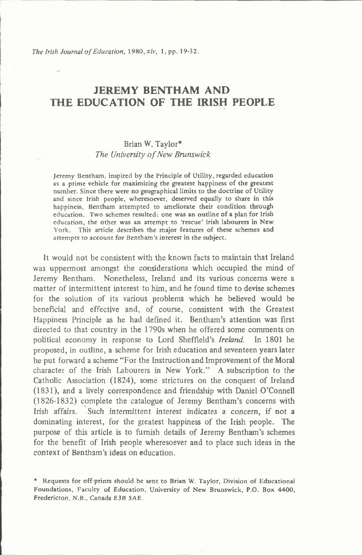*The Irish Journal of Education, 1980, xiv, 1, pp. 19-32.* 

# JEREMY BENTHAM AND THE EDUCATION OF THE IRISH PEOPLE

# **Brian W. Taylor\*** *The University o f New Brunswick*

Jeremy Bentham, inspired by the Principle of Utility, regarded education as a prime vehicle for maximizing the greatest happiness of the greatest number. Since there were no geographical limits to the doctrine of Utility and since Irish people, wheresoever, deserved equally to share in this happiness, Bentham attempted to ameliorate their condition through education. Two schemes resulted: one was an outline of a plan for Irish education, the other was an attempt to 'rescue' Irish labourers in New York. This article describes the major features of these schemes and attempts to account for Bentham's interest in the subject.

It would not be consistent with the known facts to maintain that Ireland was uppermost amongst the considerations which occupied the mind of Jeremy Bentham. Nonetheless, Ireland and its various concerns were a matter of intermittent interest to him, and he found time to devise schemes for the solution of its various problems which he believed would be beneficial and effective and, of course, consistent with the Greatest **Happiness Principle as he had defined it. Bentham 's attention was first** directed to that country in the 1790s when he offered some comments on political economy in response to Lord Sheffield's *Ireland*. In 1801 he **proposed, in outline, a scheme for Irish education and seventeen years later** he put forward a scheme "For the Instruction and Improvement of the Moral character of the Irish Labourers in New York." A subscription to the Catholic Association (1824), some strictures on the conquest of Ireland **(1 8 3 1 ), and a lively correspondence and friendship w ith Daniel O'Connell** (1826-1832) complete the catalogue of Jeremy Bentham's concerns with Irish affairs. Such intermittent interest indicates a concern, if not a dominating interest, for the greatest happiness of the Irish people. The purpose of this article is to furnish details of Jeremy Bentham's schemes for the benefit of Irish people wheresoever and to place such ideas in the **con text o f Bentham's ideas on education.**

<sup>\*</sup> Requests for off-prints should be sent to Brian W. Taylor, Division of Educational Foundations, Faculty of Education, University of New Brunswick, P.O. Box 4400, Fredericton, N.B., Canada E3B 5AE.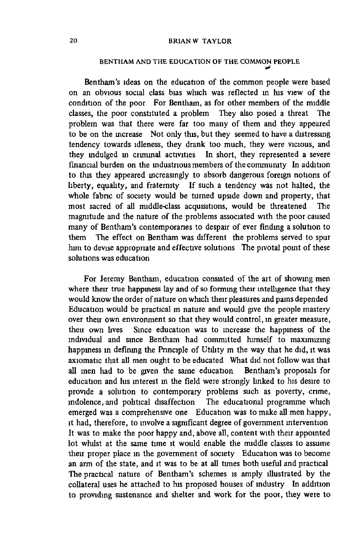# BENTHAM AND THE EDUCATION OF THE COMMON PEOPLE

Bentham's ideas on the education of the common people were based on an obvious social class bias which was reflected in his view of the condition of the poor For Bentham, as for other members of the middle **classes, the poor constituted a problem They also posed a threat The** problem was that there were far too many of them and they appeared to be on the increase Not only this, but they seemed to have a distressing tendency towards idleness, they drank too much, they were vicious, and **they indulged in criminal activities In short, they represented a severe** financial burden on the industrious members of the community In addition to this they appeared increasingly to absorb dangerous foreign notions of liberty, equality, and fraternity If such a tendency was not halted, the whole fabric of society would be turned upside down and property, that most sacred of all middle-class acquisitions, would be threatened The magnitude and the nature of the problems associated with the poor caused many of Bentham's contemporanes to despair of ever finding a solution to them The effect on Bentham was different the problems served to spur him to devise appropriate and effective solutions The pivotal point of these **solutions was education**

For Jeremy Bentham, education consisted of the art of showing men where their true happiness lay and of so forming their intelligence that they would know the order of nature on which their pleasures and pains depended Education would be practical m nature and would give the people mastery over their own environment so that they would control, in greater measure, their own lives Since education was to increase the happiness of the individual and since Bentham had committed himself to maximizing happiness in defining the Principle of Utility m the way that he did, it was axiomatic that all men ought to be educated What did not follow was that **all m en had to be given the same education Bentham 's proposals for education and his interest m the field were strongly linked to his desire to** provide a solution to contemporary problems such as poverty, crime, indolence, and political disaffection The educational programme which emerged was a comprehensive one Education was to make all men happy, it had, therefore, to involve a significant degree of government intervention It was to make the poor happy and, above all, content with their appointed lot whilst at the same time it would enable the middle classes to assume their proper place in the government of society Education was to become an arm of the state, and it was to be at all times both useful and practical The practical nature of Bentham's schemes is amply illustrated by the collateral uses he attached to his proposed houses of industry In addition to providing sustenance and shelter and work for the poor, they were to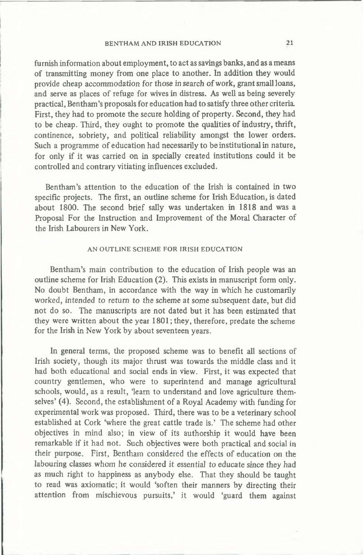furnish information about employment, to act as savings banks, and as a means of transmitting money from one place to another. In addition they would provide cheap accommodation for those in search of work, grant small loans, and serve as places of refuge for wives in distress. As well as being severely **practical, Bentham 's proposals for education had to satisfy three other criteria.** First, they had to promote the secure holding of property. Second, they had to be cheap. Third, they ought to promote the qualities of industry, thrift, continence, sobriety, and political reliability amongst the lower orders. Such a programme of education had necessarily to be institutional in nature, **for only if it was carried on in specially created institutions could it be controlled and contrary vitiating influences excluded.**

Bentham's attention to the education of the Irish is contained in two specific projects. The first, an outline scheme for Irish Education, is dated **about 1800. The second brief sally was undertaken in 1818 and was a** Proposal For the Instruction and Improvement of the Moral Character of the Irish Labourers in New York.

# AN OUTLINE SCHEME FOR IRISH EDUCATION

Bentham's main contribution to the education of Irish people was an outline scheme for Irish Education (2). This exists in manuscript form only. No doubt Bentham, in accordance with the way in which he customarily worked, intended to return to the scheme at some subsequent date, but did not do so. The manuscripts are not dated but it has been estimated that they were written about the year 1801; they, therefore, predate the scheme for the Irish in New York by about seventeen years.

In general terms, the proposed scheme was to benefit all sections of Irish society, though its major thrust was towards the middle class and it **had both educational and social ends in view. First, it was expected that** country gentlemen, who were to superintend and manage agricultural schools, would, as a result, 'learn to understand and love agriculture themselves' (4). Second, the establishment of a Royal Academy with funding for **experim ental work was proposed. Third, there was to be a veterinary school** established at Cork 'where the great cattle trade is.' The scheme had other objectives in mind also; in view of its authorship it would have been **remarkable if it had not. Such objectives were both practical and social in** their purpose. First, Bentham considered the effects of education on the **labouring classes whom he considered it essential to educate since they had as m uch right to happiness as anybody else. That they should be taught** to read was axiomatic; it would 'soften their manners by directing their attention from mischievous pursuits,' it would 'guard them against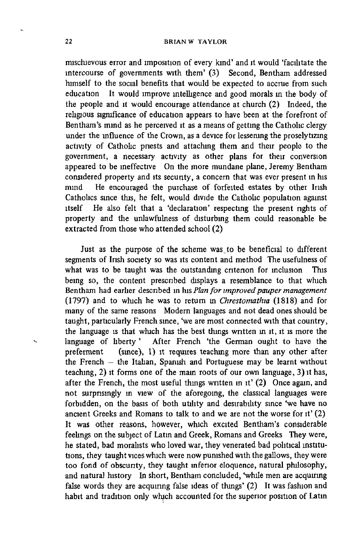mschievous error and imposition of every kind' and it would 'facilitate the intercourse of governments with them' (3) Second, Bentham addressed himself to the social benefits that would be expected to accrue from such education It would improve intelligence and good morals in the body of the people and it would encourage attendance at church (2) Indeed, the religious significance of education appears to have been at the forefront of Bentham's mind as he perceived it as a means of getting the Catholic clergy under the influence of the Crown, as a device for lessening the proselytizing activity of Catholic priests and attaching them and their people to the **governm ent, a necessary activity as other plans for their conversion appeared to be ineffective On the more mundane plane, Jeremy Bentham considered property and its security, a concern that was ever present in his** mind He encouraged the purchase of forfeited estates by other Irish Catholics since this, he felt, would divide the Catholic population against itself He also felt that a 'declaration' respecting the present rights of property and the unlawfulness of disturbing them could reasonable be extracted from those who attended school (2)

Just as the purpose of the scheme was to be beneficial to different segments of Irish society so was its content and method The usefulness of what was to be taught was the outstanding criterion for inclusion This **being so, the content prescribed displays a resemblance to that which** Bentham had earlier described in his *Plan for improved pauper management* **(1 7 9 7 ) and to which he was to return in** *Chrestomathia* **(1 8 1 8 ) and for** many of the same reasons Modern languages and not dead ones should be taught, particularly French since, 'we are most connected with that country, **the language is that which has the best things written m it, it is more the** language of liberty' After French 'the German ought to have the preferment (since), 1) it requires teaching more than any other after the French – the Italian, Spanish and Portuguese may be learnt without teaching, 2) it forms one of the main roots of our own language, 3) it has, after the French, the most useful things written in it' (2) Once again, and not surprisingly in view of the aforegoing, the classical languages were forbidden, on the basis of both utility and desirability since 'we have no ancient Greeks and Romans to talk to and we are not the worse for it' (2) **It was other reasons, however, which excited Bentham 's considerable** feelings on the subject of Latin and Greek, Romans and Greeks They were, he stated, bad moralists who loved war, they venerated bad political institu**tions, they taught vices which were now punished w ith the gallows, they were** too fond of obscurity, they taught inferior eloquence, natural philosophy, and natural history In short, Bentham concluded, 'while men are acquiring false words they are acquiring false ideas of things' (2) It was fashion and habit and tradition only which accounted for the superior position of Latin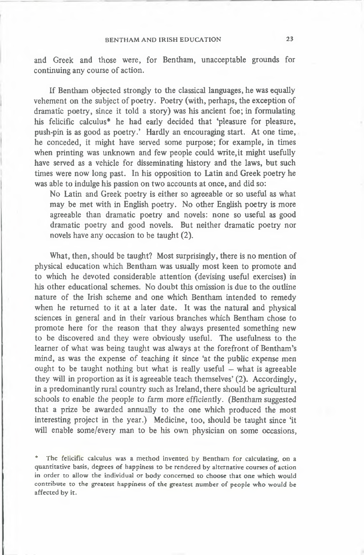# BENTHAM AND IRISH EDUCATION 23

and Greek and those were, for Bentham, unacceptable grounds for continuing any course of action.

**If Bentham objected strongly to the classical languages, he was equally** vehement on the subject of poetry. Poetry (with, perhaps, the exception of **dramatic poetry, since it told a story) was his ancient foe; in form ulating his felicific calculus\* he had early decided that 'pleasure for pleasure,** push-pin is as good as poetry.' Hardly an encouraging start. At one time, he conceded, it might have served some purpose; for example, in times when printing was unknown and few people could write, it might usefully **have served as a vehicle for disseminating history and the laws, but such times were now long past. In his opposition to Latin and Greek poetry he** was able to indulge his passion on two accounts at once, and did so:

No Latin and Greek poetry is either so agreeable or so useful as what may be met with in English poetry. No other English poetry is more **agreeable than dramatic poetry and novels: none so useful as good dramatic poetry and good novels. But neither dramatic poetry nor novels have any occasion to be taught (2).**

What, then, should be taught? Most surprisingly, there is no mention of physical education which Bentham was usually most keen to promote and **to w hich he devoted considerable attention (devising useful exercises) in** his other educational schemes. No doubt this omission is due to the outline nature of the Irish scheme and one which Bentham intended to remedy **when he returned to it at a later date. It was the natural and physical sciences in general and in their various branches w hich Bentham chose to** promote here for the reason that they always presented something new **to be discovered and they were obviously useful. The usefulness to the** learner of what was being taught was always at the forefront of Bentham's mind, as was the expense of teaching it since 'at the public expense men ought to be taught nothing but what is really useful – what is agreeable **they will in proportion as it is agreeable teach them selves' (2). Accordingly,** in a predominantly rural country such as Ireland, there should be agricultural **schools to enable the people to farm m ore** *efficiently.* **(Bentham suggested** that a prize be awarded annually to the one which produced the most interesting project in the year.) Medicine, too, should be taught since 'it will enable some/every man to be his own physician on some occasions.

\* The felicific calculus was a method invented by Bentham for calculating, on a quantitative basis, degrees of happiness to be rendered by alternative courses of action in order to allow the individual or body concerned to choose that one which would contribute to the greatest happiness of the greatest number of people who would be affected by it.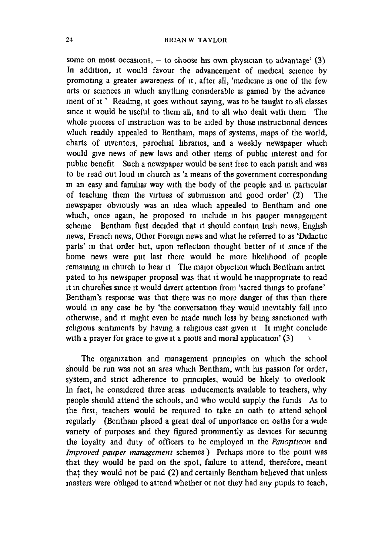some on most occasions,  $-$  to choose his own physician to advantage'  $(3)$ In addition, it would favour the advancement of medical science by promoting a greater awareness of it, after all, 'medicine is one of the few **arts or sciences in which anything considerable is gamed by the advance** ment of it ' Reading, it goes without saying, was to be taught to all classes since it would be useful to them all, and to all who dealt with them The whole process of instruction was to be aided by those instructional devices which readily appealed to Bentham, maps of systems, maps of the world, charts of inventors, parochial libraries, and a weekly newspaper which would give news of new laws and other items of public interest and for **public benefit Such a newspaper w ould be sent free to each parish and was** to be read out loud in church as 'a means of the government corresponding in an easy and familiar way with the body of the people and in particular of teaching them the virtues of submission and good order' (2) The **newspaper obviously was an idea w hich appealed to Bentham and one** which, once again, he proposed to include in his pauper management scheme Bentham first decided that it should contain Irish news, English news, French news, Other Foreign news and what he referred to as 'Didactic parts' in that order but, upon reflection thought better of it since if the home news were put last there would be more likelihood of people remaining in church to hear it The major objection which Bentham antici pated to his newspaper proposal was that it would be inappropriate to read **it in churches since it w ould divert attention from 'sacred things to profane'** Bentham's response was that there was no more danger of this than there would in any case be by 'the conversation they would inevitably fall into otherwise, and it might even be made much less by being sanctioned with religious sentiments by having a religious cast given it It might conclude with a prayer for grace to give it a pious and moral application' (3)

The organization and management principles on which the school should be run was not an area which Bentham, with his passion for order, system, and strict adherence to principles, would be likely to overlook In fact, he considered three areas inducements available to teachers, why people should attend the schools, and who would supply the funds As to the first, teachers would be required to take an oath to attend school regularly (Bentham placed a great deal of importance on oaths for a wide variety of purposes and they figured prominently as devices for securing the loyalty and duty of officers to be employed in the *Panopticon* and *Improved pauper management* schemes ) Perhaps more to the point was that they would be paid on the spot, failure to attend, therefore, meant that they would not be paid (2) and certainly Bentham believed that unless masters were obliged to attend whether or not they had any pupils to teach,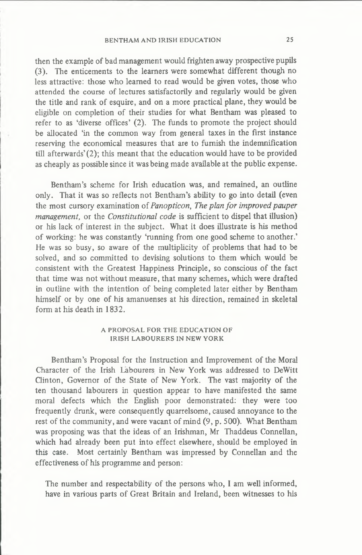## BENTHAM AND IRISH EDUCATION 25

then the example of bad management would frighten away prospective pupils (3). The enticements to the learners were somewhat different though no less attractive: those who learned to read would be given votes, those who attended the course of lectures satisfactorily and regularly would be given the title and rank of esquire, and on a more practical plane, they would be eligible on completion of their studies for what Bentham was pleased to refer to as 'diverse offices' (2). The funds to promote the project should be allocated 'in the common way from general taxes in the first instance reserving the economical measures that are to furnish the indemnification till afterwards'(2); this meant that the education would have to be provided **as cheaply as possible since it was being made available at the public expense.**

**Bentham 's scheme for Irish education was, and remained, an outline** only. That it was so reflects not Bentham's ability to go into detail (even the most cursory examination of *Panopticon*, *The plan for improved pauper management,* **or the** *Constitutional code* **is sufficient to dispel that illusion)** or his lack of interest in the subject. What it does illustrate is his method of working: he was constantly 'running from one good scheme to another.' He was so busy, so aware of the multiplicity of problems that had to be solved, and so committed to devising solutions to them which would be consistent with the Greatest Happiness Principle, so conscious of the fact that time was not without measure, that many schemes, which were drafted in outline with the intention of being completed later either by Bentham himself or by one of his amanuenses at his direction, remained in skeletal **form at his death in 1832.**

# A PROPOSAL FOR THE EDUCATION OF IRISH LABOURERS IN NEW YORK

Bentham's Proposal for the Instruction and Improvement of the Moral Character of the Irish Labourers in New York was addressed to DeWitt Clinton, Governor of the State of New York. The vast majority of the ten thousand labourers in question appear to have manifested the same moral defects which the English poor demonstrated: they were too **frequently drunk, were consequently quarrelsome, caused annoyance to the** rest of the community, and were vacant of mind (9, p. 500). What Bentham was proposing was that the ideas of an Irishman, Mr Thaddeus Connellan, which had already been put into effect elsewhere, should be employed in **this case. Most certainly Bentham was impressed by Connellan and the** effectiveness of his programme and person:

The number and respectability of the persons who, I am well informed, have in various parts of Great Britain and Ireland, been witnesses to his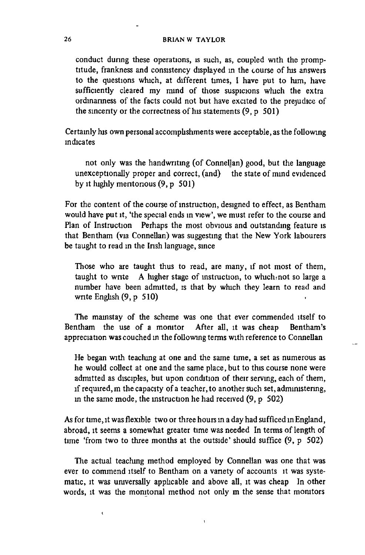conduct during these operations, is such, as, coupled with the promptitude, frankness and consistency displayed in the course of his answers to the questions which, at different times, I have put to him, have sufficiently cleared my mind of those suspicions which the extra ordinariness of the facts could not but have excited to the prejudice of the sincerity or the correctness of his statements (9, p 501)

Certainly his own personal accomplishments were acceptable, as the following **indicates**

not only was the handwriting (of Connellan) good, but the language unexceptionally proper and correct, (and) the state of mind evidenced by it highly meritorious (9, p 501)

For the content of the course of instruction, designed to effect, as Bentham would have put it, 'the special ends in view', we must refer to the course and Plan of Instruction Perhaps the most obvious and outstanding feature is that Bentham (via Connellan) was suggesting that the New York labourers **be taught to read in the Irish language, since**

Those who are taught thus to read, are many, if not most of them, taught to write A higher stage of instruction, to which not so large a number have been admitted, is that by which they learn to read and **write English (9, p 510)** 

The mainstay of the scheme was one that ever commended itself to Bentham the use of a monitor After all, it was cheap Bentham's appreciation was couched in the following terms with reference to Connellan

He began with teaching at one and the same time, a set as numerous as he would collect at one and the same place, but to this course none were admitted as disciples, but upon condition of their serving, each of them, if required, m the capacity of a teacher, to another such set, administering, in the same mode, the instruction he had received (9, p 502)

As for time, it was flexible two or three hours in a day had sufficed in England, abroad, it seems a somewhat greater time was needed In terms of length of time 'from two to three months at the outside' should suffice (9, p 502)

The actual teaching method employed by Connellan was one that was ever to commend itself to Bentham on a variety of accounts it was systematic, it was universally applicable and above all, it was cheap In other words, it was the monitorial method not only m the sense that monitors

 $\epsilon$ 

1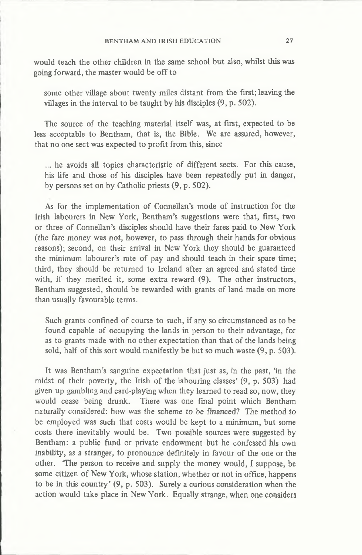would teach the other children in the same school but also, whilst this was **going forward, the master w ould be o ff to**

some other village about twenty miles distant from the first; leaving the villages in the interval to be taught by his disciples  $(9, p. 502)$ .

The source of the teaching material itself was, at first, expected to be less acceptable to Bentham, that is, the Bible. We are assured, however, **that no one sect was expected to profit from this, since**

... he avoids all topics characteristic of different sects. For this cause, his life and those of his disciples have been repeatedly put in danger, by persons set on by Catholic priests  $(9, p, 502)$ .

As for the implementation of Connellan's mode of instruction for the Irish labourers in New York, Bentham's suggestions were that, first, two or three of Connellan's disciples should have their fares paid to New York (the fare money was not, however, to pass through their hands for obvious reasons); second, on their arrival in New York they should be guaranteed the minimum labourer's rate of pay and should teach in their spare time; **third, they should be returned to Ireland after an agreed and stated time** with, if they merited it, some extra reward (9). The other instructors, Bentham suggested, should be rewarded with grants of land made on more **than usually favourable terms.**

Such grants confined of course to such, if any so circum stanced as to be found capable of occupying the lands in person to their advantage, for as to grants made with no other expectation than that of the lands being sold, half of this sort would manifestly be but so much waste  $(9, p. 503)$ .

**It was Bentham 's sanguine expectation that just as, in the past, 'in the** midst of their poverty, the Irish of the labouring classes' (9, p. 503) had **given up gambling and card-playing when they learned to read so, now , they** would cease being drunk. There was one final point which Bentham naturally considered: how was the scheme to be financed? The method to be employed was such that costs would be kept to a minimum, but some costs there inevitably would be. Two possible sources were suggested by Bentham: a public fund or private endowment but he confessed his own inability, as a stranger, to pronounce definitely in favour of the one or the other. **The person to receive and supply the money would, I suppose, be** some citizen of New York, whose station, whether or not in office, happens to be in this country' (9, p. 503). Surely a curious consideration when the action would take place in New York. Equally strange, when one considers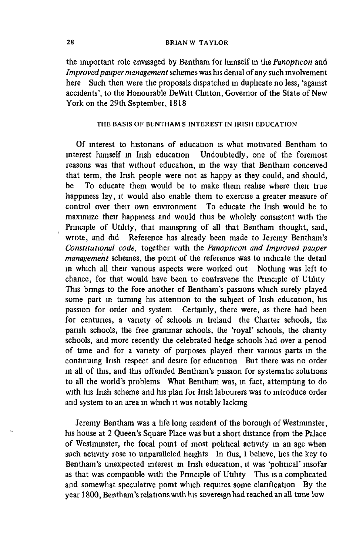the important role envisaged by Bentham for himself in the *Panopticon* and *Improved pauper management* schemes was his denial of any such involvement here Such then were the proposals dispatched in duplicate no less, 'against accidents', to the Honourable DeWitt Clinton, Governor of the State of New York on the 29th September, 1818

# THE BASIS OF BENTHAM S INTEREST IN IRISH EDUCATION

Of interest to historians of education is what motivated Bentham to interest himself in Irish education Undoubtedly, one of the foremost reasons was that without education, in the way that Bentham conceived that term, the Irish people were not as happy as they could, and should, **be To educate them would be to make them realise where their true** happiness lay, it would also enable them to exercise a greater measure of control over their own environment To educate the Irish would be to maximize their happiness and would thus be wholely consistent with the Principle of Utility, that mainspring of all that Bentham thought, said, wrote, and did Reference has already been made to Jeremy Bentham's *Constitutional code*, together with the *Panopticon and Improved pauper management* schemes, the point of the reference was to indicate the detail in which all their various aspects were worked out Nothing was left to chance, for that would have been to contravene the Principle of Utility This brings to the fore another of Bentham's passions which surely played some part in turning his attention to the subject of Irish education, his **passion for order and system Certainly, there were, as there had been** for centuries, a variety of schools m Ireland the Charter schools, the **parish schools, the free grammar schools, the 'royal' schools, the chanty** schools, and more recently the celebrated hedge schools had over a period of time and for a variety of purposes played their various parts in the continuing Irish respect and desire for education But there was no order in all of this, and this offended Bentham's passion for systematic solutions to all the world's problems What Bentham was, in fact, attempting to do with his Irish scheme and his plan for Irish labourers was to introduce order **and system to an area in which it was notably lacking**

Jeremy Bentham was a life long resident of the borough of Westminster, his house at 2 Queen's Square Place was but a short distance from the Palace of Westminster, the focal point of most political activity in an age when such activity rose to unparalleled heights In this, I believe, lies the key to **Bentham 's unexpected interest m Insh education, it was 'political' insofar** as that was compatible with the Principle of Utility This is a complicated and somewhat speculative pomt which requires some clarification By the year 1800, Bentham's relations with his sovereign had reached an all time low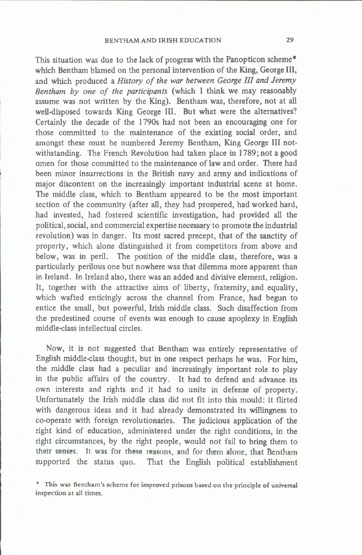This situation was due to the lack of progress with the Panopticon scheme\* which Bentham blamed on the personal intervention of the King, George III, and which produced a *History of the war between George III and Jeremy* Bentham by one of the participants (which I think we may reasonably assume was not written by the King). Bentham was, therefore, not at all **well-disposed towards King George III. But what were the alternatives?** Certainly the decade of the 1790s had not been an encouraging one for those committed to the maintenance of the existing social order, and amongst these must be numbered Jeremy Bentham, King George III notwithstanding. The French Revolution had taken place in 1789; not a good omen for those committed to the maintenance of law and order. There had been minor insurrections in the British navy and army and indications of major discontent on the increasingly important industrial scene at home. The middle class, which to Bentham appeared to be the most important section of the community (after all, they had prospered, had worked hard, **had invested, had fostered scientific investigation, had provided all the** political, social, and commercial expertise necessary to promote the industrial revolution) was in danger. Its most sacred precept, that of the sanctity of property, which alone distinguished it from competitors from above and below, was in peril. The position of the middle class, therefore, was a particularly perilous one but nowhere was that dilemma more apparent than in Ireland. In Ireland also, there was an added and divisive element, religion. It, together with the attractive aims of liberty, fraternity, and equality, **which w afted enticingly across the channel from France, had begun to** entice the small, but powerful, Irish middle class. Such disaffection from the predestined course of events was enough to cause apoplexy in English **middle-class intellectual circles.**

Now, it is not suggested that Bentham was entirely representative of **English middle-class thought, but in one respect perhaps he was. For him ,** the middle class had a peculiar and increasingly important role to play in the public affairs of the country. It had to defend and advance its own interests and rights and it had to unite in defense of property. Unfortunately the Irish middle class did not fit into this mould: it flirted with dangerous ideas and it had already demonstrated its willingness to co-operate with foreign revolutionaries. The judicious application of the right kind of education, administered under the right conditions, in the right circum stances, by the right people, would not fail to bring them to **their senses. It was for these reasons, and for them alone, that Bentham** supported the status quo. That the English political establishment

\* This was Bentham's scheme for improved prisons based on the principle of universal inspection at all times.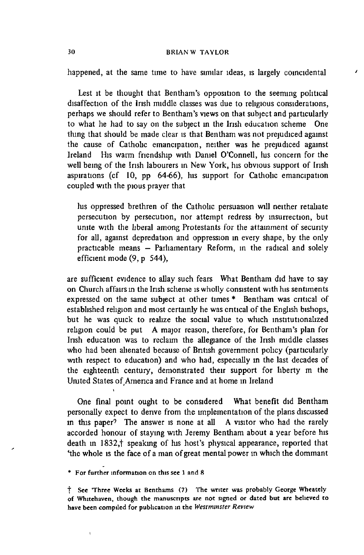**happened, at the same time to have similar ideas, is largely coincidental**

 $\mathbf{r}$ 

Lest it be thought that Bentham's opposition to the seeming political disaffection of the Irish middle classes was due to religious considerations, perhaps we should refer to Bentham's views on that subject and particularly to what he had to say on the subject in the Irish education scheme One **thing that should be made clear is that Bentham was not prejudiced against** the cause of Catholic emancipation, neither was he prejudiced against **Ireland His warm friendship with Daniel O'Connell, his concern for the** well being of the Irish labourers in New York, his obvious support of Irish aspirations (cf 10, pp 64-66), his support for Catholic emancipation **coupled with the pious prayer that**

his oppressed brethren of the Catholic persuasion will neither retaliate persecution by persecution, nor attempt redress by insurrection, but unite with the liberal among Protestants for the attainment of security **for all, against depredation and oppression in every shape, by the only** practicable means - Parliamentary Reform, in the radical and solely **efficient m ode (9, p 5 44),**

**are sufficient evidence to allay such fears What Bentham did have to say** on Church affairs in the Irish scheme is wholly consistent with his sentiments expressed on the same subject at other times \* Bentham was critical of established religion and most certainly he was critical of the English bishops, but he was quick to realize the social value to which institutionalized **religion could be put A major reason, therefore, for Bentham 's plan for** Irish education was to reclaim the allegiance of the Irish middle classes who had been alienated because of British government policy (particularly with respect to education) and who had, especially in the last decades of **the eighteenth century, demonstrated their support for liberty m the** United States of America and France and at home in Ireland

**One final point ought to be considered What benefit did Bentham** personally expect to derive from the implementation of the plans discussed in this paper<sup>?</sup> The answer is none at all A visitor who had the rarely accorded honour of staying with Jeremy Bentham about a year before his death in 1832,<sup>†</sup> speaking of his host's physical appearance, reported that 'the whole is the face of a man of great mental power in which the dommant

\* For further information on this see 1 and 8

**i**

t See Three Weeks at Benthams (7) The writer was probably George Wheately of Whitehaven, though the manuscripts are not signed or dated but are believed to have been compiled for publication in the *Westminster Review*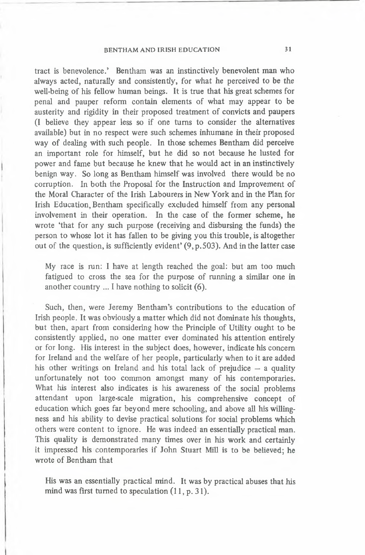# BENTHAM AND IRISH EDUCATION 31

tract is benevolence.' Bentham was an instinctively benevolent man who **always acted, naturally and consistently, for what he perceived to be the** well-being of his fellow human beings. It is true that his great schemes for penal and pauper reform contain elements of what may appear to be austerity and rigidity in their proposed treatment of convicts and paupers **(I believe they appear less so if one turns to consider the alternatives** available) but in no respect were such schemes inhumane in their proposed way of dealing with such people. In those schemes Bentham did perceive **an im portant role for him self, but he did so n ot because he lusted for** power and fame but because he knew that he would act in an instinctively benign way. So long as Bentham himself was involved there would be no corruption. In both the Proposal for the Instruction and Improvement of the Moral Character of the Irish Labourers in New York and in the Plan for Irish Education, Bentham specifically excluded himself from any personal involvement in their operation. In the case of the former scheme, he **wrote 'that for any such purpose (receiving and disbursing the funds) the** person to whose lot it has fallen to be giving you this trouble, is altogether out of the question, is sufficiently evident' (9, p. 503). And in the latter case

My race is run: I have at length reached the goal: but am too much fatigued to cross the sea for the purpose of running a similar one in **another country ... I have nothing to solicit (6).**

Such, then, were Jeremy Bentham's contributions to the education of Irish people. It was obviously a matter which did not dominate his thoughts, but then, apart from considering how the Principle of Utility ought to be consistently applied, no one matter ever dominated his attention entirely or for long. His interest in the subject does, however, indicate his concern for Ireland and the welfare of her people, particularly when to it are added his other writings on Ireland and his total lack of prejudice  $-$  a quality unfortunately not too common amongst many of his contemporaries. What his interest also indicates is his awareness of the social problems attendant upon large-scale migration, his comprehensive concept of education which goes far beyond mere schooling, and above all his willingness and his ability to devise practical solutions for social problems which **others were content to ignore. He was indeed an essentially practical man.** This quality is demonstrated many times over in his work and certainly **it impressed his contem poraries if John Stuart Mill is to be believed; he** wrote of Bentham that

His was an essentially practical mind. It was by practical abuses that his mind was first turned to speculation (11, p. 31).